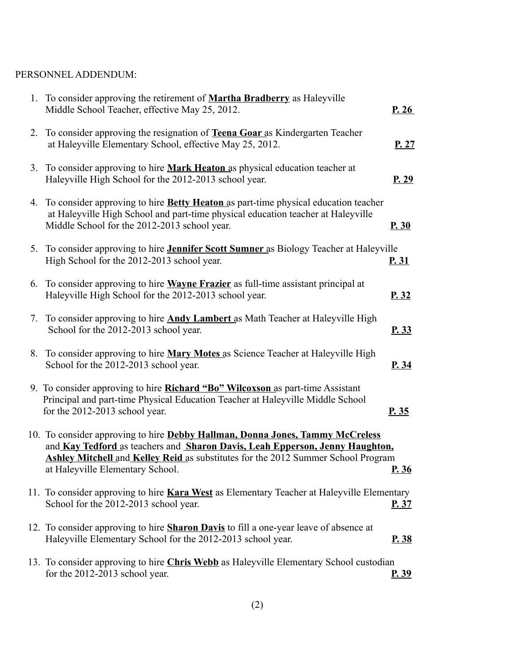### PERSONNEL ADDENDUM:

|    | 1. To consider approving the retirement of <b>Martha Bradberry</b> as Haleyville<br>Middle School Teacher, effective May 25, 2012.                                                                                                                                                            | P.26         |
|----|-----------------------------------------------------------------------------------------------------------------------------------------------------------------------------------------------------------------------------------------------------------------------------------------------|--------------|
|    | 2. To consider approving the resignation of Teena Goar as Kindergarten Teacher<br>at Haleyville Elementary School, effective May 25, 2012.                                                                                                                                                    | P.27         |
|    | 3. To consider approving to hire <b>Mark Heaton</b> as physical education teacher at<br>Haleyville High School for the 2012-2013 school year.                                                                                                                                                 | P.29         |
| 4. | To consider approving to hire <b>Betty Heaton</b> as part-time physical education teacher<br>at Haleyville High School and part-time physical education teacher at Haleyville<br>Middle School for the 2012-2013 school year.                                                                 | P.30         |
|    | 5. To consider approving to hire <b>Jennifer Scott Sumner</b> as Biology Teacher at Haleyville<br>High School for the 2012-2013 school year.                                                                                                                                                  | <u>P. 31</u> |
|    | 6. To consider approving to hire <b>Wayne Frazier</b> as full-time assistant principal at<br>Haleyville High School for the 2012-2013 school year.                                                                                                                                            | P.32         |
| 7. | To consider approving to hire <b>Andy Lambert</b> as Math Teacher at Haleyville High<br>School for the 2012-2013 school year.                                                                                                                                                                 | P.33         |
|    | 8. To consider approving to hire Mary Motes as Science Teacher at Haleyville High<br>School for the 2012-2013 school year.                                                                                                                                                                    | P. 34        |
|    | 9. To consider approving to hire <b>Richard "Bo" Wilcoxson</b> as part-time Assistant<br>Principal and part-time Physical Education Teacher at Haleyville Middle School<br>for the 2012-2013 school year.                                                                                     | P.35         |
|    | 10. To consider approving to hire Debby Hallman, Donna Jones, Tammy McCreless<br>and Kay Tedford as teachers and Sharon Davis, Leah Epperson, Jenny Haughton,<br><b>Ashley Mitchell and Kelley Reid as substitutes for the 2012 Summer School Program</b><br>at Haleyville Elementary School. | P.36         |
|    | 11. To consider approving to hire <b>Kara West</b> as Elementary Teacher at Haleyville Elementary<br>School for the 2012-2013 school year.                                                                                                                                                    | P.37         |
|    | 12. To consider approving to hire <b>Sharon Davis</b> to fill a one-year leave of absence at<br>Haleyville Elementary School for the 2012-2013 school year.                                                                                                                                   | <u>P.38</u>  |
|    | 13. To consider approving to hire Chris Webb as Haleyville Elementary School custodian<br>for the 2012-2013 school year.                                                                                                                                                                      | <u>P.39</u>  |
|    |                                                                                                                                                                                                                                                                                               |              |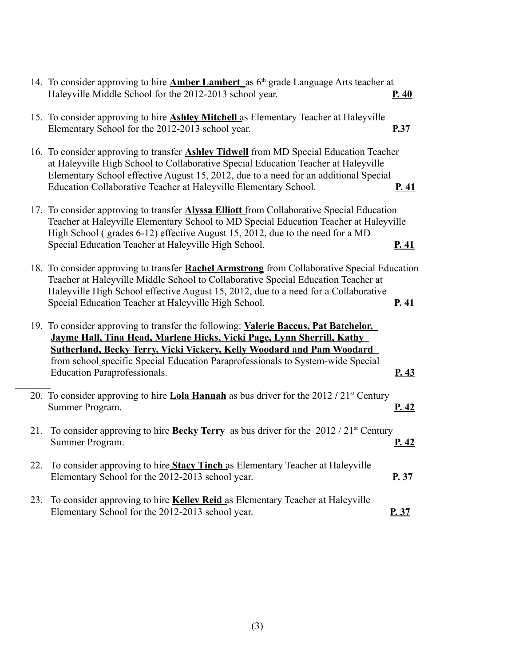|  | 14. To consider approving to hire <b>Amber Lambert</b> as $6th$ grade Language Arts teacher at<br>Haleyville Middle School for the 2012-2013 school year.                                                                                                                                                                                                        | P.40  |
|--|------------------------------------------------------------------------------------------------------------------------------------------------------------------------------------------------------------------------------------------------------------------------------------------------------------------------------------------------------------------|-------|
|  | 15. To consider approving to hire <b>Ashley Mitchell</b> as Elementary Teacher at Haleyville<br>Elementary School for the 2012-2013 school year.                                                                                                                                                                                                                 | P.37  |
|  | 16. To consider approving to transfer <b>Ashley Tidwell</b> from MD Special Education Teacher<br>at Haleyville High School to Collaborative Special Education Teacher at Haleyville<br>Elementary School effective August 15, 2012, due to a need for an additional Special<br>Education Collaborative Teacher at Haleyville Elementary School.                  | P.41  |
|  | 17. To consider approving to transfer <b>Alyssa Elliott</b> from Collaborative Special Education<br>Teacher at Haleyville Elementary School to MD Special Education Teacher at Haleyville<br>High School (grades 6-12) effective August 15, 2012, due to the need for a MD<br>Special Education Teacher at Haleyville High School.                               | P.41  |
|  | 18. To consider approving to transfer Rachel Armstrong from Collaborative Special Education<br>Teacher at Haleyville Middle School to Collaborative Special Education Teacher at<br>Haleyville High School effective August 15, 2012, due to a need for a Collaborative<br>Special Education Teacher at Haleyville High School.                                  | P.41  |
|  | 19. To consider approving to transfer the following: Valerie Baccus, Pat Batchelor,<br>Jayme Hall, Tina Head, Marlene Hicks, Vicki Page, Lynn Sherrill, Kathy<br>Sutherland, Becky Terry, Vicki Vickery, Kelly Woodard and Pam Woodard<br>from school specific Special Education Paraprofessionals to System-wide Special<br><b>Education Paraprofessionals.</b> | P.43  |
|  | 20. To consider approving to hire Lola Hannah as bus driver for the $2012 / 21$ <sup>st</sup> Century<br>Summer Program.                                                                                                                                                                                                                                         | P.42  |
|  | 21. To consider approving to hire <b>Becky Terry</b> as bus driver for the $2012 / 21$ <sup>st</sup> Century<br>Summer Program.                                                                                                                                                                                                                                  | P.42  |
|  | 22. To consider approving to hire Stacy Tinch as Elementary Teacher at Haleyville<br>Elementary School for the 2012-2013 school year.                                                                                                                                                                                                                            | P. 37 |
|  | 23. To consider approving to hire Kelley Reid as Elementary Teacher at Haleyville<br>Elementary School for the 2012-2013 school year.                                                                                                                                                                                                                            | P.37  |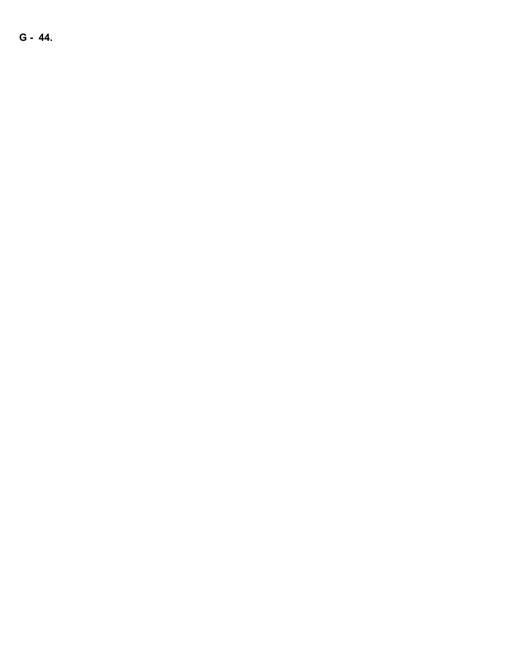**G - 44.**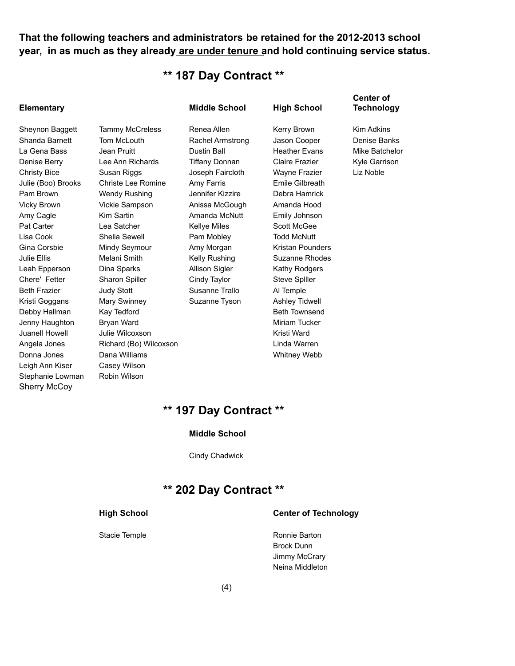**That the following teachers and administrators be retained for the 2012-2013 school year, in as much as they already are under tenure and hold continuing service status.**

# **\*\* 187 Day Contract \*\***

| <b>Elementary</b>   |                           | <b>Middle School</b>  | <b>High School</b>    | <b>Center of</b><br>Technology |
|---------------------|---------------------------|-----------------------|-----------------------|--------------------------------|
| Sheynon Baggett     | <b>Tammy McCreless</b>    | Renea Allen           | Kerry Brown           | <b>Kim Adkins</b>              |
| Shanda Barnett      | Tom McLouth               | Rachel Armstrong      | Jason Cooper          | Denise Banks                   |
| La Gena Bass        | Jean Pruitt               | <b>Dustin Ball</b>    | <b>Heather Evans</b>  | Mike Batchelor                 |
| Denise Berry        | Lee Ann Richards          | <b>Tiffany Donnan</b> | Claire Frazier        | Kyle Garrison                  |
| <b>Christy Bice</b> | Susan Riggs               | Joseph Faircloth      | Wayne Frazier         | Liz Noble                      |
| Julie (Boo) Brooks  | <b>Christe Lee Romine</b> | Amy Farris            | Emile Gilbreath       |                                |
| Pam Brown           | <b>Wendy Rushing</b>      | Jennifer Kizzire      | Debra Hamrick         |                                |
| <b>Vicky Brown</b>  | Vickie Sampson            | Anissa McGough        | Amanda Hood           |                                |
| Amy Cagle           | Kim Sartin                | Amanda McNutt         | Emily Johnson         |                                |
| Pat Carter          | Lea Satcher               | <b>Kellye Miles</b>   | Scott McGee           |                                |
| Lisa Cook           | Shelia Sewell             | Pam Mobley            | <b>Todd McNutt</b>    |                                |
| Gina Corsbie        | Mindy Seymour             | Amy Morgan            | Kristan Pounders      |                                |
| Julie Ellis         | Melani Smith              | Kelly Rushing         | <b>Suzanne Rhodes</b> |                                |
| Leah Epperson       | Dina Sparks               | Allison Sigler        | Kathy Rodgers         |                                |
| Chere' Fetter       | Sharon Spiller            | Cindy Taylor          | Steve Spiller         |                                |
| <b>Beth Frazier</b> | <b>Judy Stott</b>         | Susanne Trallo        | Al Temple             |                                |
| Kristi Goggans      | Mary Swinney              | Suzanne Tyson         | <b>Ashley Tidwell</b> |                                |
| Debby Hallman       | Kay Tedford               |                       | <b>Beth Townsend</b>  |                                |
| Jenny Haughton      | Bryan Ward                |                       | <b>Miriam Tucker</b>  |                                |
| Juanell Howell      | Julie Wilcoxson           |                       | Kristi Ward           |                                |
| Angela Jones        | Richard (Bo) Wilcoxson    |                       | Linda Warren          |                                |
| Donna Jones         | Dana Williams             |                       | Whitney Webb          |                                |
| Leigh Ann Kiser     | Casey Wilson              |                       |                       |                                |
| Stephanie Lowman    | Robin Wilson              |                       |                       |                                |

# **\*\* 197 Day Contract \*\***

#### **Middle School**

Cindy Chadwick

# **\*\* 202 Day Contract \*\***

Sherry McCoy

#### **High School Center of Technology**

Stacie Temple **Ronnie Barton** Brock Dunn Jimmy McCrary Neina Middleton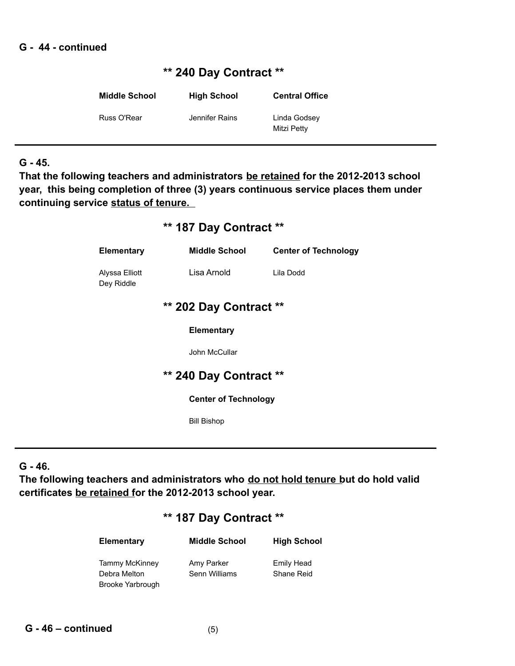### **G - 44 - continued**

# **\*\* 240 Day Contract \*\***

| <b>Middle School</b> | <b>High School</b> | <b>Central Office</b>       |
|----------------------|--------------------|-----------------------------|
| Russ O'Rear          | Jennifer Rains     | Linda Godsey<br>Mitzi Petty |

### **G - 45.**

**That the following teachers and administrators be retained for the 2012-2013 school year, this being completion of three (3) years continuous service places them under continuing service status of tenure.** 

# **\*\* 187 Day Contract \*\***

| <b>Elementary</b>            | <b>Middle School</b>   | <b>Center of Technology</b> |  |
|------------------------------|------------------------|-----------------------------|--|
| Alyssa Elliott<br>Dey Riddle | Lisa Arnold            | Lila Dodd                   |  |
|                              | ** 202 Day Contract ** |                             |  |
|                              | <b>Elementary</b>      |                             |  |
|                              | John McCullar          |                             |  |
|                              | ** 240 Day Contract ** |                             |  |
| <b>Center of Technology</b>  |                        |                             |  |
|                              | <b>Bill Bishop</b>     |                             |  |

## **G - 46.**

**The following teachers and administrators who do not hold tenure but do hold valid certificates be retained for the 2012-2013 school year.** 

# **\*\* 187 Day Contract \*\***

| <b>Elementary</b> | <b>Middle School</b> | <b>High School</b> |
|-------------------|----------------------|--------------------|
| Tammy McKinney    | Amy Parker           | Emily Head         |
| Debra Melton      | Senn Williams        | <b>Shane Reid</b>  |
| Brooke Yarbrough  |                      |                    |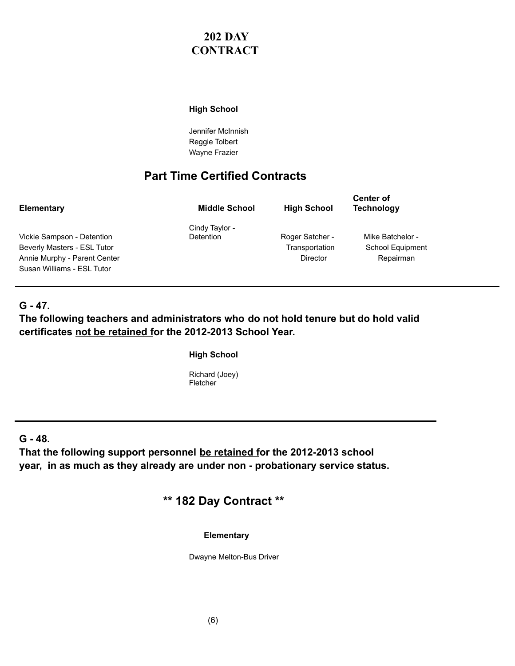# **202 DAY CONTRACT**

### **High School**

Jennifer McInnish Reggie Tolbert Wayne Frazier

# **Part Time Certified Contracts**

| Elementary                   | <b>Middle School</b> | <b>High School</b> | <b>Center of</b><br><b>Technology</b> |
|------------------------------|----------------------|--------------------|---------------------------------------|
|                              | Cindy Taylor -       |                    |                                       |
| Vickie Sampson - Detention   | <b>Detention</b>     | Roger Satcher -    | Mike Batchelor -                      |
| Beverly Masters - ESL Tutor  |                      | Transportation     | School Equipment                      |
| Annie Murphy - Parent Center |                      | Director           | Repairman                             |
| Susan Williams - ESL Tutor   |                      |                    |                                       |

### **G - 47.**

### The following teachers and administrators who do not hold tenure but do hold valid **certificates not be retained for the 2012-2013 School Year.**

**High School**

Richard (Joey) Fletcher

**G - 48.** 

**That the following support personnel be retained for the 2012-2013 school year, in as much as they already are under non - probationary service status.** 

**\*\* 182 Day Contract \*\*** 

**Elementary**

Dwayne Melton-Bus Driver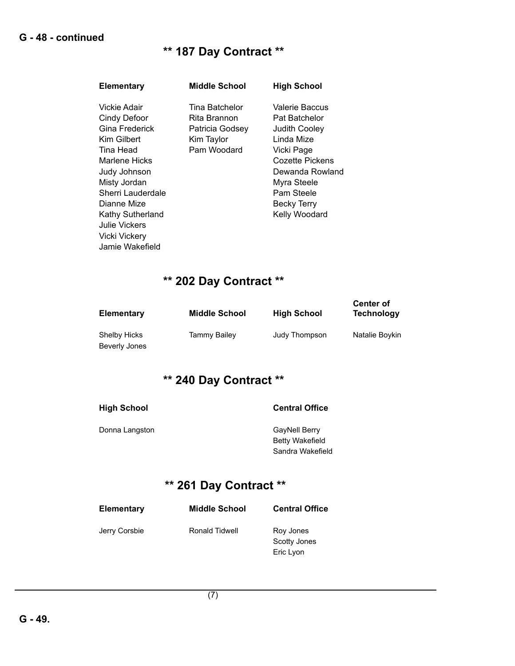# **\*\* 187 Day Contract \*\***

| Elementary                                                                                                                                                                                                            | <b>Middle School</b>                                                           | <b>High School</b>                                                                                                                                                                     |
|-----------------------------------------------------------------------------------------------------------------------------------------------------------------------------------------------------------------------|--------------------------------------------------------------------------------|----------------------------------------------------------------------------------------------------------------------------------------------------------------------------------------|
| Vickie Adair<br>Cindy Defoor<br>Gina Frederick<br>Kim Gilbert<br>Tina Head<br>Marlene Hicks<br>Judy Johnson<br>Misty Jordan<br>Sherri Lauderdale<br>Dianne Mize<br>Kathy Sutherland<br>Julie Vickers<br>Vicki Vickery | Tina Batchelor<br>Rita Brannon<br>Patricia Godsey<br>Kim Taylor<br>Pam Woodard | Valerie Baccus<br>Pat Batchelor<br><b>Judith Cooley</b><br>Linda Mize<br>Vicki Page<br>Cozette Pickens<br>Dewanda Rowland<br>Myra Steele<br>Pam Steele<br>Becky Terry<br>Kelly Woodard |
| Jamie Wakefield                                                                                                                                                                                                       |                                                                                |                                                                                                                                                                                        |

# **\*\* 202 Day Contract \*\***

| Elementary    | <b>Middle School</b> | <b>High School</b> | <b>Center of</b><br><b>Technology</b> |
|---------------|----------------------|--------------------|---------------------------------------|
| Shelby Hicks  | Tammy Bailey         | Judy Thompson      | Natalie Boykin                        |
| Beverly Jones |                      |                    |                                       |

# **\*\* 240 Day Contract \*\***

| <b>High School</b> | <b>Central Office</b>                                       |
|--------------------|-------------------------------------------------------------|
| Donna Langston     | GayNell Berry<br><b>Betty Wakefield</b><br>Sandra Wakefield |

# **\*\* 261 Day Contract \*\***

| <b>Elementary</b> | <b>Middle School</b> | <b>Central Office</b>                  |
|-------------------|----------------------|----------------------------------------|
| Jerry Corsbie     | Ronald Tidwell       | Roy Jones<br>Scotty Jones<br>Eric Lyon |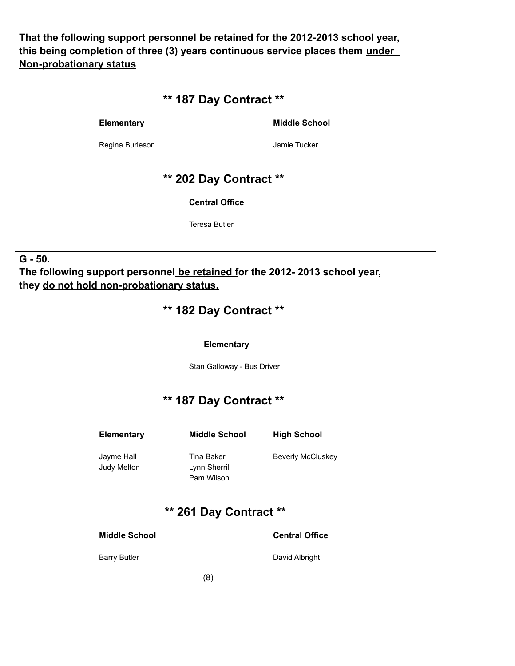**That the following support personnel be retained for the 2012-2013 school year, this being completion of three (3) years continuous service places them under Non-probationary status**

# **\*\* 187 Day Contract \*\***

**Elementary Middle School**

Regina Burleson **Matter and Strucker** Jamie Tucker

# **\*\* 202 Day Contract \*\***

**Central Office**

Teresa Butler

### **G - 50.**

**The following support personnel be retained for the 2012- 2013 school year, they do not hold non-probationary status.**

## **\*\* 182 Day Contract \*\***

### **Elementary**

Stan Galloway - Bus Driver

# **\*\* 187 Day Contract \*\***

| Elementary                | <b>Middle School</b>                      | <b>High School</b>       |
|---------------------------|-------------------------------------------|--------------------------|
| Jayme Hall<br>Judy Melton | Tina Baker<br>Lynn Sherrill<br>Pam Wilson | <b>Beverly McCluskey</b> |
|                           |                                           |                          |

# **\*\* 261 Day Contract \*\***

**Middle School Central Office**

Barry Butler **David Albright**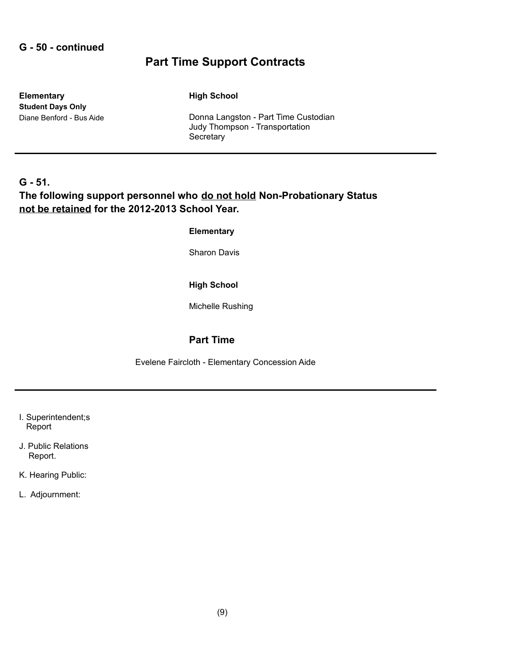### **G - 50 - continued**

# **Part Time Support Contracts**

**Elementary High School Student Days Only**

Diane Benford - Bus Aide **Donna Langston - Part Time Custodian** Judy Thompson - Transportation **Secretary** 

### **G - 51. The following support personnel who do not hold Non-Probationary Status not be retained for the 2012-2013 School Year.**

### **Elementary**

Sharon Davis

### **High School**

Michelle Rushing

### **Part Time**

Evelene Faircloth - Elementary Concession Aide

- I. Superintendent;s Report
- J. Public Relations Report.
- K. Hearing Public:
- L. Adjournment: